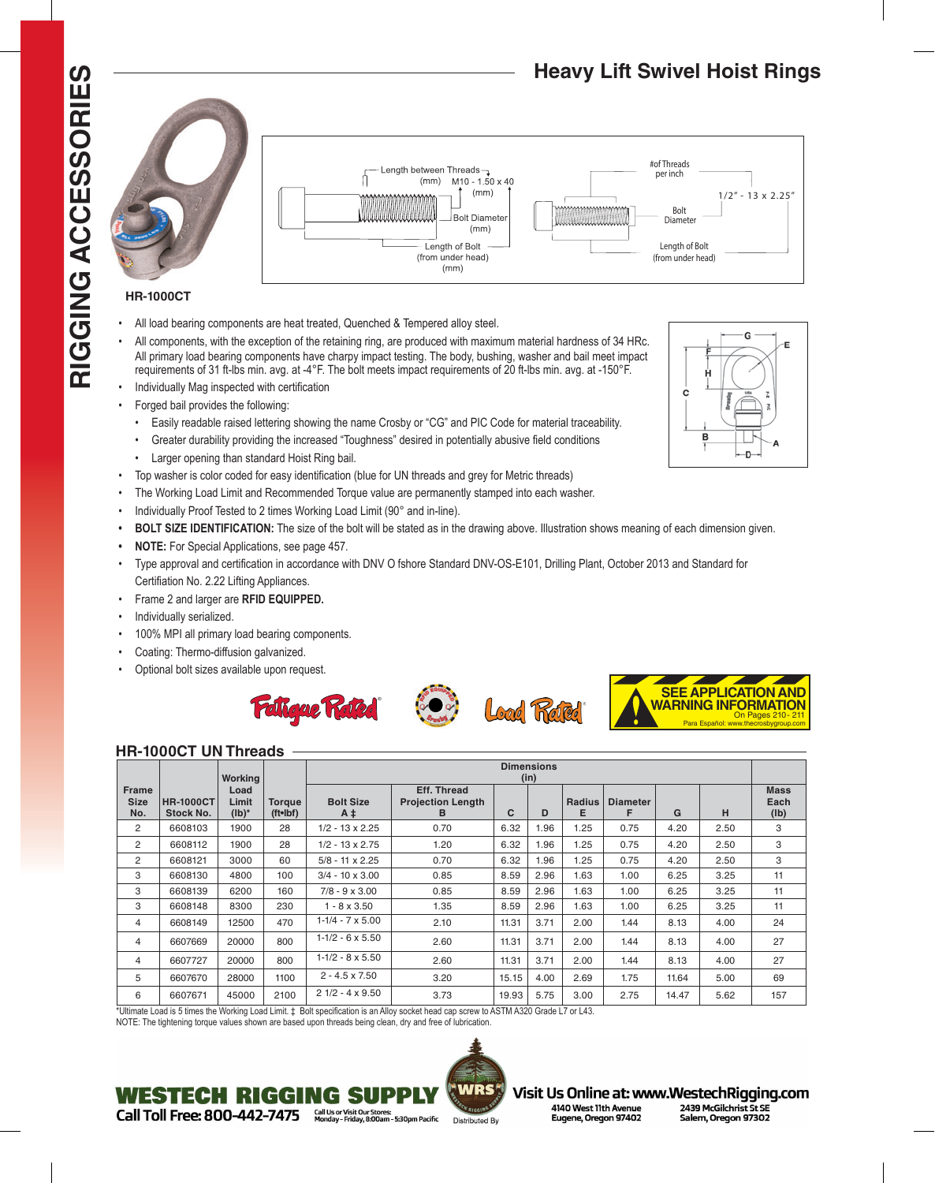# RIGGING ACCESSORIES **RIGGING ACCESSORIES**



- All load bearing components are heat treated, Quenched & Tempered alloy steel.
- All components, with the exception of the retaining ring, are produced with maximum material hardness of 34 HRc. All primary load bearing components have charpy impact testing. The body, bushing, washer and bail meet impact requirements of 31 ft-lbs min. avg. at -4°F. The bolt meets impact requirements of 20 ft-lbs min. avg. at -150°F.
- Individually Mag inspected with certification
- Forged bail provides the following:
- Easily readable raised lettering showing the name Crosby or "CG" and PIC Code for material traceability.
- Greater durability providing the increased "Toughness" desired in potentially abusive field conditions
- Larger opening than standard Hoist Ring bail.
- Top washer is color coded for easy identification (blue for UN threads and grey for Metric threads)
- The Working Load Limit and Recommended Torque value are permanently stamped into each washer.
- Individually Proof Tested to 2 times Working Load Limit (90° and in-line).
- **• BOLT SIZE IDENTIFICATION:** The size of the bolt will be stated as in the drawing above. Illustration shows meaning of each dimension given.
- **• NOTE:** For Special Applications, see page 457.
- Type approval and certification in accordance with DNV O fshore Standard DNV-OS-E101, Drilling Plant, October 2013 and Standard for Certifiation No. 2.22 Lifting Appliances.

Length between Threads- $(mm)$ 

> Length of Bolt (from under head)  $(mm)$

 $M10 - 1.50 \times 40$  $(mm)$ **Bolt Diamete**  $(mm)$ 

- Frame 2 and larger are **RFID EQUIPPED.**
- Individually serialized.
- 100% MPI all primary load bearing components.
- Coating: Thermo-diffusion galvanized.
- Optional bolt sizes available upon request.



#### **HR-1000CT UN Threads**

|              |                  |          |                |                           | <b>Dimensions</b>        |       |      |               |                 |       |      |                 |
|--------------|------------------|----------|----------------|---------------------------|--------------------------|-------|------|---------------|-----------------|-------|------|-----------------|
|              |                  | Working  |                |                           | (in)                     |       |      |               |                 |       |      |                 |
| <b>Frame</b> |                  | Load     |                |                           | <b>Eff. Thread</b>       |       |      |               |                 |       |      | <b>Mass</b>     |
| <b>Size</b>  | <b>HR-1000CT</b> | Limit    | <b>Torque</b>  | <b>Bolt Size</b>          | <b>Projection Length</b> |       |      | <b>Radius</b> | <b>Diameter</b> |       |      | Each            |
| No.          | Stock No.        | $(Ib)^*$ | $(tt$ -Ibf $)$ | $A \ddagger$              | в                        | C     | D    | Е             | F               | G     | н    | $(\mathsf{lb})$ |
| 2            | 6608103          | 1900     | 28             | $1/2 - 13 \times 2.25$    | 0.70                     | 6.32  | 1.96 | 1.25          | 0.75            | 4.20  | 2.50 | 3               |
| 2            | 6608112          | 1900     | 28             | $1/2 - 13 \times 2.75$    | 1.20                     | 6.32  | 1.96 | 1.25          | 0.75            | 4.20  | 2.50 | 3               |
| 2            | 6608121          | 3000     | 60             | $5/8 - 11 \times 2.25$    | 0.70                     | 6.32  | 1.96 | 1.25          | 0.75            | 4.20  | 2.50 | 3               |
| 3            | 6608130          | 4800     | 100            | $3/4 - 10 \times 3.00$    | 0.85                     | 8.59  | 2.96 | 1.63          | 1.00            | 6.25  | 3.25 | 11              |
| 3            | 6608139          | 6200     | 160            | $7/8 - 9 \times 3.00$     | 0.85                     | 8.59  | 2.96 | 1.63          | 1.00            | 6.25  | 3.25 | 11              |
| 3            | 6608148          | 8300     | 230            | $1 - 8 \times 3.50$       | 1.35                     | 8.59  | 2.96 | 1.63          | 1.00            | 6.25  | 3.25 | 11              |
| 4            | 6608149          | 12500    | 470            | $1 - 1/4 - 7 \times 5.00$ | 2.10                     | 11.31 | 3.71 | 2.00          | 1.44            | 8.13  | 4.00 | 24              |
| 4            | 6607669          | 20000    | 800            | $1-1/2 - 6 \times 5.50$   | 2.60                     | 11.31 | 3.71 | 2.00          | 1.44            | 8.13  | 4.00 | 27              |
| 4            | 6607727          | 20000    | 800            | $1-1/2 - 8 \times 5.50$   | 2.60                     | 11.31 | 3.71 | 2.00          | 1.44            | 8.13  | 4.00 | 27              |
| 5            | 6607670          | 28000    | 1100           | $2 - 4.5 \times 7.50$     | 3.20                     | 15.15 | 4.00 | 2.69          | 1.75            | 11.64 | 5.00 | 69              |
| 6            | 6607671          | 45000    | 2100           | $21/2 - 4 \times 9.50$    | 3.73                     | 19.93 | 5.75 | 3.00          | 2.75            | 14.47 | 5.62 | 157             |

\*Ultimate Load is 5 times the Working Load Limit. ‡ Bolt specification is an Alloy socket head cap screw to ASTM A320 Grade L7 or L43.

NOTE: The tightening torque values shown are based upon threads being clean, dry and free of lubrication.

WESTECH RIGGING SI

Call Toll Free: 800-442-7475



# Visit Us Online at: www.WestechRigging.com

4140 West 11th Avenue Eugene, Oregon 97402

2439 McGilchrist St SE Salem, Oregon 97302



 $1/2" - 13 \times 2.25"$ 

# **Heavy Lift Swivel Hoist Rings**

Bolt **Diameter** Length of Bolt (from under head)

#of Threads per inch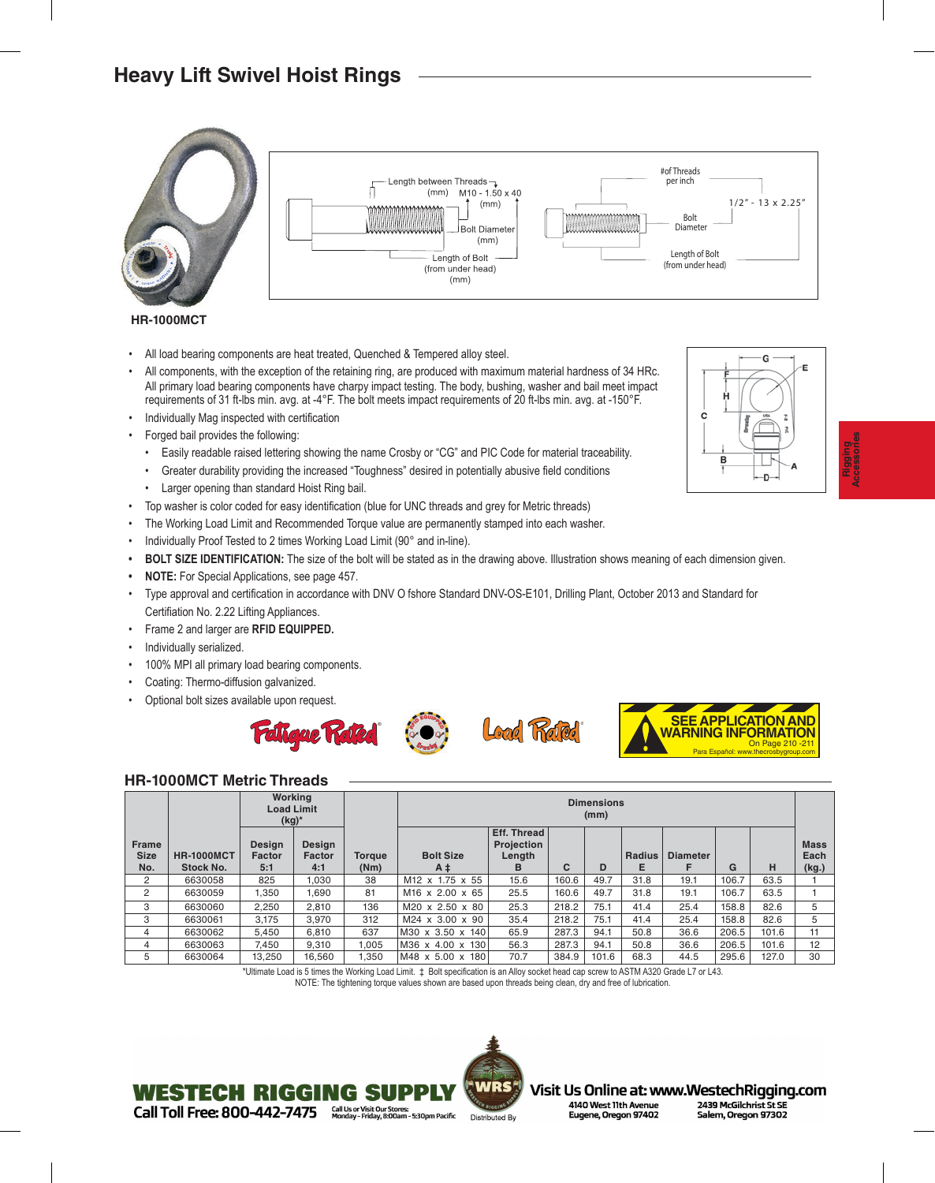# **Heavy Lift Swivel Hoist Rings**



#### **HR-1000MCT**

- All load bearing components are heat treated, Quenched & Tempered alloy steel.
- All components, with the exception of the retaining ring, are produced with maximum material hardness of 34 HRc. All primary load bearing components have charpy impact testing. The body, bushing, washer and bail meet impact requirements of 31 ft-lbs min. avg. at -4°F. The bolt meets impact requirements of 20 ft-lbs min. avg. at -150°F.
- Individually Mag inspected with certification
- Forged bail provides the following:
	- Easily readable raised lettering showing the name Crosby or "CG" and PIC Code for material traceability.
	- Greater durability providing the increased "Toughness" desired in potentially abusive field conditions
	- Larger opening than standard Hoist Ring bail.
- Top washer is color coded for easy identification (blue for UNC threads and grey for Metric threads)
- The Working Load Limit and Recommended Torque value are permanently stamped into each washer.
- Individually Proof Tested to 2 times Working Load Limit (90° and in-line).
- **• BOLT SIZE IDENTIFICATION:** The size of the bolt will be stated as in the drawing above. Illustration shows meaning of each dimension given.
- **• NOTE:** For Special Applications, see page 457.
- Type approval and certification in accordance with DNV O fshore Standard DNV-OS-E101, Drilling Plant, October 2013 and Standard for Certifiation No. 2.22 Lifting Appliances.
- Frame 2 and larger are **RFID EQUIPPED.**
- Individually serialized.
- 100% MPI all primary load bearing components.
- Coating: Thermo-diffusion galvanized.
- Optional bolt sizes available upon request.









#### **HR-1000MCT Metric Threads**

WESTECH RIGGING SI

Call Toll Free: 800-442-7475

|                                    |                                       | $(kg)^*$                       | <b>Working</b><br><b>Load Limit</b> |                       | <b>Dimensions</b><br>(mm)   |                                          |       |       |             |                 |       |       |                              |
|------------------------------------|---------------------------------------|--------------------------------|-------------------------------------|-----------------------|-----------------------------|------------------------------------------|-------|-------|-------------|-----------------|-------|-------|------------------------------|
| <b>Frame</b><br><b>Size</b><br>No. | <b>HR-1000MCT</b><br><b>Stock No.</b> | Design<br><b>Factor</b><br>5:1 | Design<br>Factor<br>4:1             | <b>Torque</b><br>(Nm) | <b>Bolt Size</b><br>$A \pm$ | Eff. Thread<br>Projection<br>Length<br>в | C     | D     | Radius<br>Е | <b>Diameter</b> | G     | н     | <b>Mass</b><br>Each<br>(kg.) |
| 2                                  | 6630058                               | 825                            | 1,030                               | 38                    | M12 x 1.75 x 55             | 15.6                                     | 160.6 | 49.7  | 31.8        | 19.1            | 106.7 | 63.5  |                              |
| 2                                  | 6630059                               | 1,350                          | 1,690                               | 81                    | M <sub>16</sub> x 2.00 x 65 | 25.5                                     | 160.6 | 49.7  | 31.8        | 19.1            | 106.7 | 63.5  |                              |
| 3                                  | 6630060                               | 2,250                          | 2.810                               | 136                   | M20 x 2.50 x 80             | 25.3                                     | 218.2 | 75.1  | 41.4        | 25.4            | 158.8 | 82.6  | 5                            |
| 3                                  | 6630061                               | 3.175                          | 3.970                               | 312                   | M24 x 3.00 x 90             | 35.4                                     | 218.2 | 75.1  | 41.4        | 25.4            | 158.8 | 82.6  | 5                            |
| 4                                  | 6630062                               | 5,450                          | 6,810                               | 637                   | M30 x 3.50 x 140            | 65.9                                     | 287.3 | 94.1  | 50.8        | 36.6            | 206.5 | 101.6 | 11                           |
| 4                                  | 6630063                               | 7.450                          | 9.310                               | 1.005                 | M36 x 4.00 x 130            | 56.3                                     | 287.3 | 94.1  | 50.8        | 36.6            | 206.5 | 101.6 | 12                           |
| 5                                  | 6630064                               | 13.250                         | 16.560                              | 1.350                 | M48 x 5.00 x 180            | 70.7                                     | 384.9 | 101.6 | 68.3        | 44.5            | 295.6 | 127.0 | 30                           |

\*Ultimate Load is 5 times the Working Load Limit. ‡ Bolt specification is an Alloy socket head cap screw to ASTM A320 Grade L7 or L43.

NOTE: The tightening torque values shown are based upon threads being clean, dry and free of lubrication.



Visit Us Online at: www.WestechRigging.com 4140 West 11th Avenue 2439 McGilchrist St SE Eugene, Oregon 97402 Salem, Oregon 97302

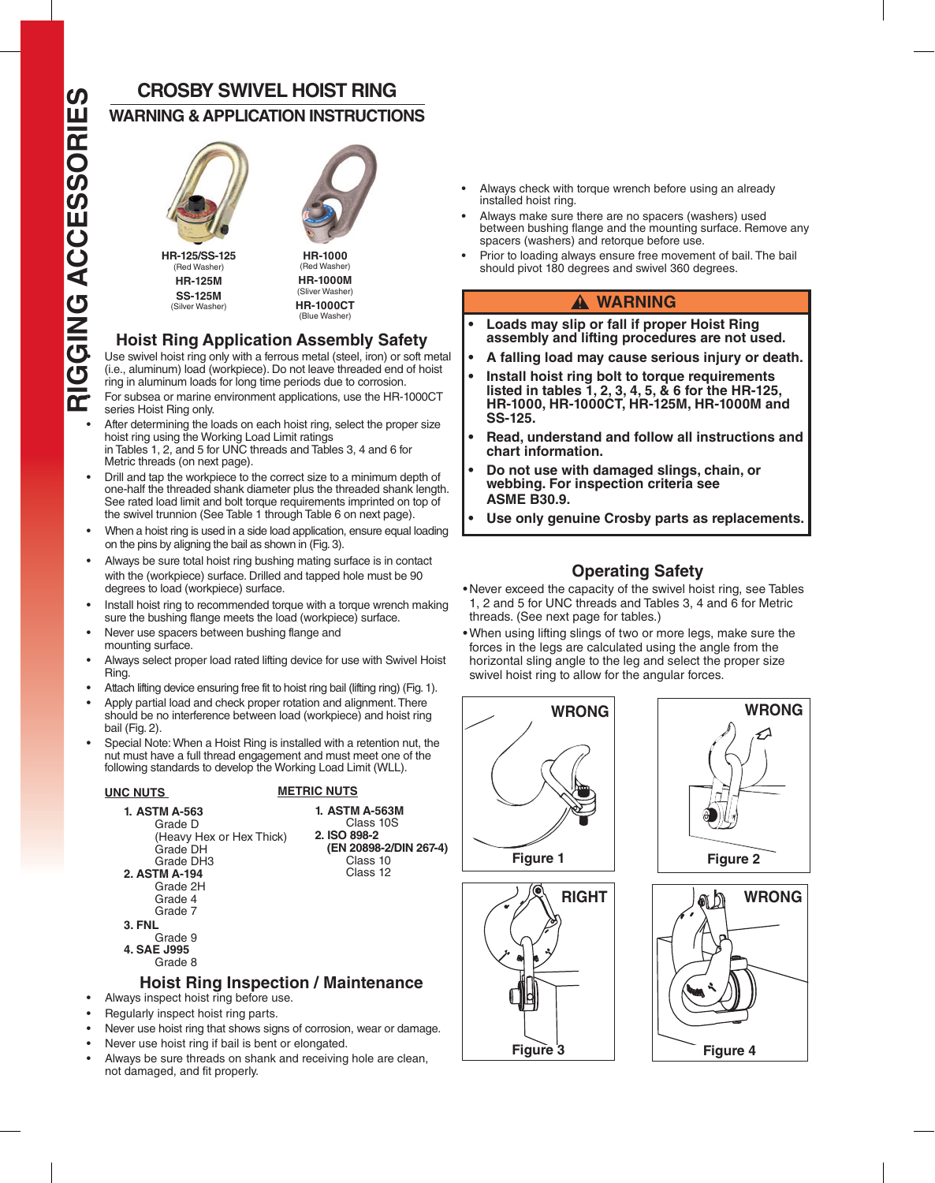# **CROSBY SWIVEL HOIST RING**

# **WARNING & APPLICATION INSTRUCTIONS**



(Sliver Washer) **HR-1000CT** (Blue Washer)

## **Hoist Ring Application Assembly Safety**

**SS-125M**<br>(Silver Washer)

(i.e., aluminum) load (workpiece). Do not leave threaded end of hoist ring in aluminum loads for long time periods due to corrosion.

- For subsea or marine environment applications, use the HR-1000CT series Hoist Ring only.
- After determining the loads on each hoist ring, select the proper size hoist ring using the Working Load Limit ratings in Tables 1, 2, and 5 for UNC threads and Tables 3, 4 and 6 for Metric threads (on next page).
- Drill and tap the workpiece to the correct size to a minimum depth of one-half the threaded shank diameter plus the threaded shank length. See rated load limit and bolt torque requirements imprinted on top of the swivel trunnion (See Table 1 through Table 6 on next page).
- When a hoist ring is used in a side load application, ensure equal loading on the pins by aligning the bail as shown in (Fig. 3).
- Always be sure total hoist ring bushing mating surface is in contact with the (workpiece) surface. Drilled and tapped hole must be 90 degrees to load (workpiece) surface.
- Install hoist ring to recommended torque with a torque wrench making sure the bushing flange meets the load (workpiece) surface.
- Never use spacers between bushing flange and mounting surface.
- Always select proper load rated lifting device for use with Swivel Hoist Ring.
- Attach lifting device ensuring free fit to hoist ring bail (lifting ring) (Fig. 1).
- Apply partial load and check proper rotation and alignment. There should be no interference between load (workpiece) and hoist ring bail (Fig. 2).
- Special Note: When a Hoist Ring is installed with a retention nut, the nut must have a full thread engagement and must meet one of the following standards to develop the Working Load Limit (WLL).

**1. ASTM A-563M** Class 10S

> **(EN 20898-2/DIN 267-4)** Class 10 Class 12

**2. ISO 898-2**

#### **UNC NUTS METRIC NUTS**



- **3. FNL** Grade 9 **4. SAE J995**
	- Grade 8

## **Hoist Ring Inspection / Maintenance**

- Always inspect hoist ring before use.
- Regularly inspect hoist ring parts.
- Never use hoist ring that shows signs of corrosion, wear or damage.
- Never use hoist ring if bail is bent or elongated.
- Always be sure threads on shank and receiving hole are clean, not damaged, and fit properly.
- Always check with torque wrench before using an already installed hoist ring.
- Always make sure there are no spacers (washers) used between bushing flange and the mounting surface. Remove any spacers (washers) and retorque before use.
- Prior to loading always ensure free movement of bail. The bail should pivot 180 degrees and swivel 360 degrees.

#### $A$  WARNING

- **• Loads may slip or fall if proper Hoist Ring assembly and lifting procedures are not used.**
- **• A falling load may cause serious injury or death.**
- **• Install hoist ring bolt to torque requirements listed in tables 1, 2, 3, 4, 5, & 6 for the HR-125, HR-1000, HR-1000CT, HR-125M, HR-1000M and SS-125.**
- **• Read, understand and follow all instructions and chart information.**
- **• Do not use with damaged slings, chain, or webbing. For inspection criteria see ASME B30.9.**
- **• Use only genuine Crosby parts as replacements.**

## **Operating Safety**

- Never exceed the capacity of the swivel hoist ring, see Tables 1, 2 and 5 for UNC threads and Tables 3, 4 and 6 for Metric threads. (See next page for tables.)
- •When using lifting slings of two or more legs, make sure the forces in the legs are calculated using the angle from the horizontal sling angle to the leg and select the proper size swivel hoist ring to allow for the angular forces.







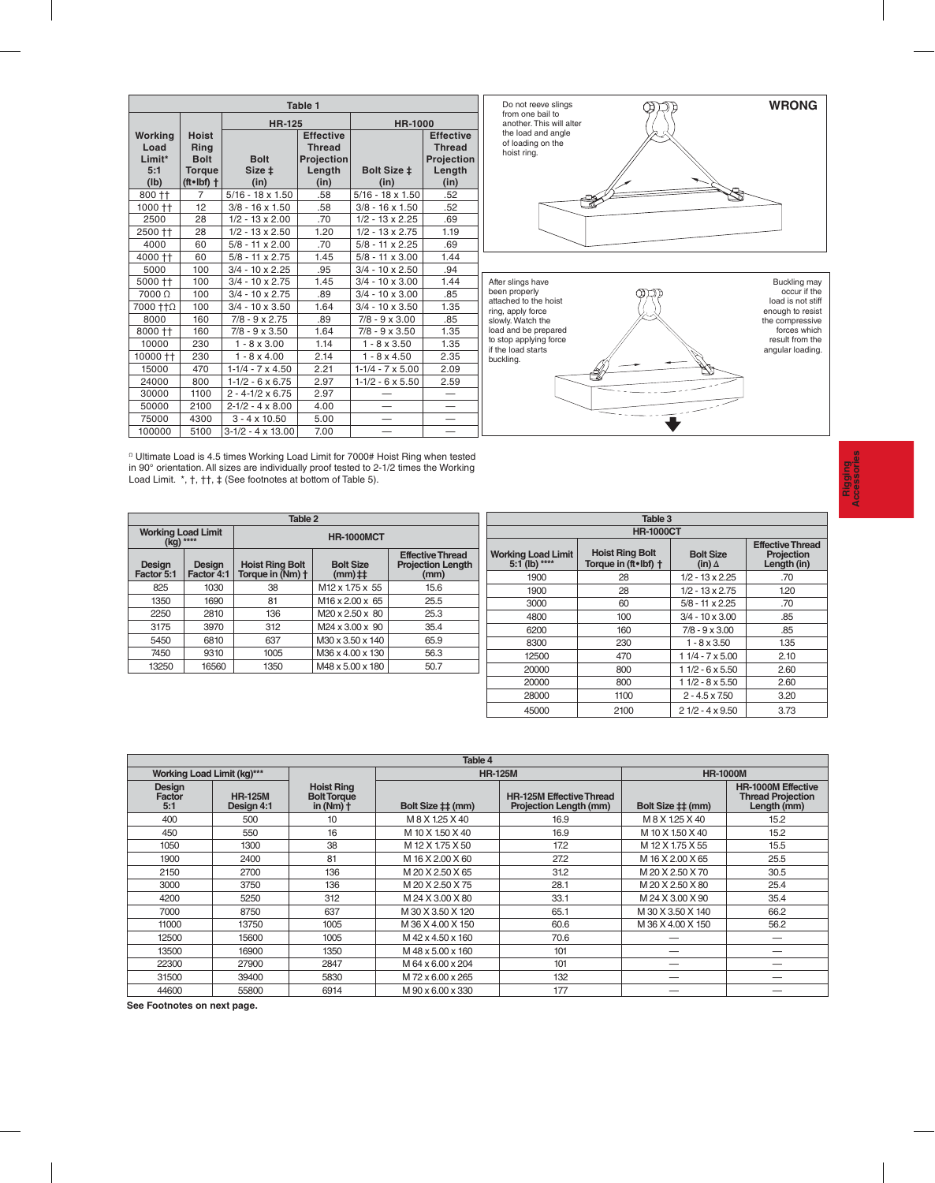| Table 1                                  |                                                                                  |                               |                                                                   |                            |                                                                   |  |  |  |  |  |
|------------------------------------------|----------------------------------------------------------------------------------|-------------------------------|-------------------------------------------------------------------|----------------------------|-------------------------------------------------------------------|--|--|--|--|--|
|                                          |                                                                                  | <b>HR-125</b>                 |                                                                   | <b>HR-1000</b>             |                                                                   |  |  |  |  |  |
| Working<br>Load<br>Limit*<br>5:1<br>(Ib) | <b>Hoist</b><br>Ring<br><b>Bolt</b><br><b>Torque</b><br>$(t \cdot \text{lbf})$ + | <b>Bolt</b><br>Size ±<br>(in) | <b>Effective</b><br><b>Thread</b><br>Projection<br>Length<br>(in) | <b>Bolt Size ‡</b><br>(in) | <b>Effective</b><br><b>Thread</b><br>Projection<br>Length<br>(in) |  |  |  |  |  |
| 800 † †                                  | 7                                                                                | $5/16 - 18 \times 1.50$       | .58                                                               | $5/16 - 18 \times 1.50$    | .52                                                               |  |  |  |  |  |
| 1000 ††                                  | 12                                                                               | $3/8 - 16 \times 1.50$        | .58                                                               | $3/8 - 16 \times 1.50$     | .52                                                               |  |  |  |  |  |
| 2500                                     | 28                                                                               | $1/2 - 13 \times 2.00$        | .70                                                               | $1/2 - 13 \times 2.25$     | .69                                                               |  |  |  |  |  |
| 2500 ††                                  | 28                                                                               | $1/2 - 13 \times 2.50$        | 1.20                                                              | $1/2 - 13 \times 2.75$     | 1.19                                                              |  |  |  |  |  |
| 4000                                     | 60                                                                               | $5/8 - 11 \times 2.00$        | .70                                                               | $5/8 - 11 \times 2.25$     | .69                                                               |  |  |  |  |  |
| 4000 ††                                  | 60                                                                               | $5/8 - 11 \times 2.75$        | 1.45                                                              | $5/8 - 11 \times 3.00$     | 1.44                                                              |  |  |  |  |  |
| 5000                                     | 100                                                                              | $3/4 - 10 \times 2.25$        | .95                                                               | $3/4 - 10 \times 2.50$     | .94                                                               |  |  |  |  |  |
| 5000 ++                                  | 100                                                                              | $3/4 - 10 \times 2.75$        | 1.45                                                              | $3/4 - 10 \times 3.00$     | 1.44                                                              |  |  |  |  |  |
| 7000Ω                                    | 100                                                                              | $3/4 - 10 \times 2.75$        | .89                                                               | $3/4 - 10 \times 3.00$     | .85                                                               |  |  |  |  |  |
| 7000 ++0                                 | 100                                                                              | $3/4 - 10 \times 3.50$        | 1.64                                                              | $3/4 - 10 \times 3.50$     | 1.35                                                              |  |  |  |  |  |
| 8000                                     | 160                                                                              | $7/8 - 9 \times 2.75$         | .89                                                               | $7/8 - 9 \times 3.00$      | .85                                                               |  |  |  |  |  |
| 8000 ++                                  | 160                                                                              | $7/8 - 9 \times 3.50$         | 1.64                                                              | $7/8 - 9 \times 3.50$      | 1.35                                                              |  |  |  |  |  |
| 10000                                    | 230                                                                              | $1 - 8 \times 3.00$           | 1.14                                                              | $1 - 8 \times 3.50$        | 1.35                                                              |  |  |  |  |  |
| 10000 ††                                 | 230                                                                              | $1 - 8 \times 4.00$           | 2.14                                                              | $1 - 8 \times 4.50$        | 2.35                                                              |  |  |  |  |  |
| 15000                                    | 470                                                                              | $1-1/4 - 7 \times 4.50$       | 2.21                                                              | $1-1/4 - 7 \times 5.00$    | 2.09                                                              |  |  |  |  |  |
| 24000                                    | 800                                                                              | $1-1/2 - 6 \times 6.75$       | 2.97                                                              | $1-1/2 - 6 \times 5.50$    | 2.59                                                              |  |  |  |  |  |
| 30000                                    | 1100                                                                             | $2 - 4 - 1/2 \times 6.75$     | 2.97                                                              |                            |                                                                   |  |  |  |  |  |
| 50000                                    | 2100                                                                             | $2 - 1/2 - 4 \times 8.00$     | 4.00                                                              |                            |                                                                   |  |  |  |  |  |
| 75000                                    | 4300                                                                             | $3 - 4 \times 10.50$          | 5.00                                                              |                            |                                                                   |  |  |  |  |  |
| 100000                                   | 5100                                                                             | $3-1/2 - 4 \times 13.00$      | 7.00                                                              |                            |                                                                   |  |  |  |  |  |





 $^{\alpha}$  Ultimate Load is 4.5 times Working Load Limit for 7000# Hoist Ring when tested in 90° orientation. All sizes are individually proof tested to 2-1/2 times the Working Load Limit. \*, †, ††, ‡ (See footnotes at bottom of Table 5).

| Table 2                                |                      |                                                      |                               |                                                             |  |  |  |  |
|----------------------------------------|----------------------|------------------------------------------------------|-------------------------------|-------------------------------------------------------------|--|--|--|--|
| <b>Working Load Limit</b><br>(kg) **** |                      |                                                      | <b>HR-1000MCT</b>             |                                                             |  |  |  |  |
| Design<br>Factor 5:1                   | Design<br>Factor 4:1 | <b>Hoist Ring Bolt</b><br>Torque in $(Mm)$ $\dagger$ | <b>Bolt Size</b><br>$(mm)$ ## | <b>Effective Thread</b><br><b>Projection Length</b><br>(mm) |  |  |  |  |
| 825                                    | 1030                 | 38                                                   | M <sub>12</sub> x 1.75 x 55   | 15.6                                                        |  |  |  |  |
| 1350                                   | 1690                 | 81                                                   | M16 x 2.00 x 65               | 25.5                                                        |  |  |  |  |
| 2250                                   | 2810                 | 136                                                  | M <sub>20</sub> x 2.50 x 80   | 25.3                                                        |  |  |  |  |
| 3175                                   | 3970                 | 312                                                  | M24 x 3.00 x 90               | 35.4                                                        |  |  |  |  |
| 5450                                   | 6810                 | 637                                                  | M30 x 3.50 x 140              | 65.9                                                        |  |  |  |  |
| 7450                                   | 9310                 | 1005                                                 | M36 x 4.00 x 130              | 56.3                                                        |  |  |  |  |
| 13250                                  | 16560                | 1350                                                 | M48 x 5.00 x 180              | 50.7                                                        |  |  |  |  |
|                                        |                      |                                                      |                               |                                                             |  |  |  |  |

| Table 3                                      |                                                                  |                                   |                                                      |  |  |  |  |  |  |
|----------------------------------------------|------------------------------------------------------------------|-----------------------------------|------------------------------------------------------|--|--|--|--|--|--|
| <b>HR-1000CT</b>                             |                                                                  |                                   |                                                      |  |  |  |  |  |  |
| <b>Working Load Limit</b><br>$5:1$ (lb) **** | <b>Hoist Ring Bolt</b><br>Torque in (ft $\bullet$ lbf) $\dagger$ | <b>Bolt Size</b><br>(in) $\Delta$ | <b>Effective Thread</b><br>Projection<br>Length (in) |  |  |  |  |  |  |
| 1900                                         | 28                                                               | $1/2 - 13 \times 2.25$            | .70                                                  |  |  |  |  |  |  |
| 1900                                         | 28                                                               | $1/2 - 13 \times 2.75$            | 1.20                                                 |  |  |  |  |  |  |
| 3000                                         | 60                                                               | $5/8 - 11 \times 2.25$            | .70                                                  |  |  |  |  |  |  |
| 4800                                         | 100                                                              | $3/4 - 10 \times 3.00$            | .85                                                  |  |  |  |  |  |  |
| 6200                                         | 160                                                              | $7/8 - 9 \times 3.00$             | .85                                                  |  |  |  |  |  |  |
| 8300                                         | 230                                                              | $1 - 8 \times 3.50$               | 1.35                                                 |  |  |  |  |  |  |
| 12500                                        | 470                                                              | $11/4 - 7 \times 5.00$            | 2.10                                                 |  |  |  |  |  |  |
| 20000                                        | 800                                                              | 11/2 - 6 x 5.50                   | 2.60                                                 |  |  |  |  |  |  |
| 20000                                        | 800                                                              | $11/2 - 8 \times 5.50$            | 2.60                                                 |  |  |  |  |  |  |
| 28000                                        | 1100                                                             | $2 - 4.5 \times 7.50$             | 3.20                                                 |  |  |  |  |  |  |
| 45000                                        | 2100                                                             | $21/2 - 4 \times 9.50$            | 3.73                                                 |  |  |  |  |  |  |

| Table 4                           |                              |                                                                |                   |                                                           |                   |                                                                      |  |  |
|-----------------------------------|------------------------------|----------------------------------------------------------------|-------------------|-----------------------------------------------------------|-------------------|----------------------------------------------------------------------|--|--|
| <b>Working Load Limit (kg)***</b> |                              |                                                                | <b>HR-125M</b>    |                                                           | <b>HR-1000M</b>   |                                                                      |  |  |
| <b>Design</b><br>Factor<br>5:1    | <b>HR-125M</b><br>Design 4:1 | <b>Hoist Ring</b><br><b>Bolt Torque</b><br>in $(Nm)$ $\dagger$ | Bolt Size ‡‡ (mm) | <b>HR-125M Effective Thread</b><br>Projection Length (mm) | Bolt Size ## (mm) | <b>HR-1000M Effective</b><br><b>Thread Projection</b><br>Length (mm) |  |  |
| 400                               | 500                          | 10                                                             | M 8 X 1.25 X 40   | 16.9                                                      | M 8 X 1.25 X 40   | 15.2                                                                 |  |  |
| 450                               | 550                          | 16                                                             | M 10 X 1.50 X 40  | 16.9                                                      | M 10 X 1.50 X 40  | 15.2                                                                 |  |  |
| 1050                              | 1300                         | 38                                                             | M 12 X 1.75 X 50  | 17.2                                                      | M 12 X 1.75 X 55  | 15.5                                                                 |  |  |
| 1900                              | 2400                         | 81                                                             | M 16 X 2.00 X 60  | 27.2                                                      | M 16 X 2.00 X 65  | 25.5                                                                 |  |  |
| 2150                              | 2700                         | 136                                                            | M 20 X 2.50 X 65  | 31.2                                                      | M 20 X 2.50 X 70  | 30.5                                                                 |  |  |
| 3000                              | 3750                         | 136                                                            | M 20 X 2.50 X 75  | 28.1                                                      | M 20 X 2.50 X 80  | 25.4                                                                 |  |  |
| 4200                              | 5250                         | 312                                                            | M 24 X 3.00 X 80  | 33.1                                                      | M 24 X 3.00 X 90  | 35.4                                                                 |  |  |
| 7000                              | 8750                         | 637                                                            | M 30 X 3.50 X 120 | 65.1                                                      | M 30 X 3.50 X 140 | 66.2                                                                 |  |  |
| 11000                             | 13750                        | 1005                                                           | M 36 X 4.00 X 150 | 60.6                                                      | M 36 X 4.00 X 150 | 56.2                                                                 |  |  |
| 12500                             | 15600                        | 1005                                                           | M 42 x 4.50 x 160 | 70.6                                                      |                   |                                                                      |  |  |
| 13500                             | 16900                        | 1350                                                           | M 48 x 5.00 x 160 | 101                                                       |                   |                                                                      |  |  |
| 22300                             | 27900                        | 2847                                                           | M 64 x 6.00 x 204 | 101                                                       |                   |                                                                      |  |  |
| 31500                             | 39400                        | 5830                                                           | M72 x 6.00 x 265  | 132                                                       |                   |                                                                      |  |  |
| 44600                             | 55800                        | 6914                                                           | M 90 x 6.00 x 330 | 177                                                       |                   |                                                                      |  |  |

**See Footnotes on next page.**